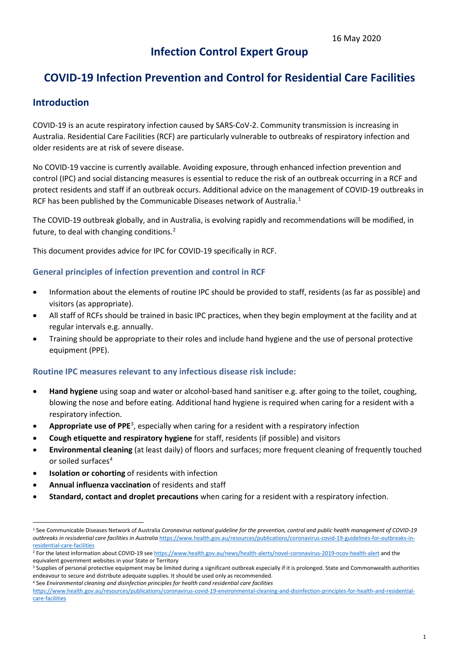# **Infection Control Expert Group**

# **COVID-19 Infection Prevention and Control for Residential Care Facilities**

### **Introduction**

COVID-19 is an acute respiratory infection caused by SARS-CoV-2. Community transmission is increasing in Australia. Residential Care Facilities (RCF) are particularly vulnerable to outbreaks of respiratory infection and older residents are at risk of severe disease.

No COVID-19 vaccine is currently available. Avoiding exposure, through enhanced infection prevention and control (IPC) and social distancing measures is essential to reduce the risk of an outbreak occurring in a RCF and protect residents and staff if an outbreak occurs. Additional advice on the management of COVID-19 outbreaks in RCF has been published by the Communicable Diseases network of Australia.<sup>[1](#page-0-0)</sup>

The COVID-19 outbreak globally, and in Australia, is evolving rapidly and recommendations will be modified, in future, to deal with changing conditions.<sup>[2](#page-0-1)</sup>

This document provides advice for IPC for COVID-19 specifically in RCF.

#### **General principles of infection prevention and control in RCF**

- Information about the elements of routine IPC should be provided to staff, residents (as far as possible) and visitors (as appropriate).
- All staff of RCFs should be trained in basic IPC practices, when they begin employment at the facility and at regular intervals e.g. annually.
- Training should be appropriate to their roles and include hand hygiene and the use of personal protective equipment (PPE).

#### **Routine IPC measures relevant to any infectious disease risk include:**

- **Hand hygiene** using soap and water or alcohol-based hand sanitiser e.g. after going to the toilet, coughing, blowing the nose and before eating. Additional hand hygiene is required when caring for a resident with a respiratory infection.
- **Appropriate use of PPE**<sup>[3](#page-0-2)</sup>, especially when caring for a resident with a respiratory infection
- **Cough etiquette and respiratory hygiene** for staff, residents (if possible) and visitors
- **Environmental cleaning** (at least daily) of floors and surfaces; more frequent cleaning of frequently touched or soiled surfaces<sup>4</sup>
- **Isolation or cohorting** of residents with infection
- **Annual influenza vaccination** of residents and staff
- **Standard, contact and droplet precautions** when caring for a resident with a respiratory infection.

<span id="page-0-0"></span> $\overline{a}$ <sup>1</sup> See Communicable Diseases Network of Australia *Coronavirus national guideline for the prevention, control and public health management of COVID-19 outbreaks in resisdential care facilities in Australia* [https://www.health.gov.au/resources/publications/coronavirus-covid-19-guidelines-for-outbreaks-in](https://www.health.gov.au/resources/publications/coronavirus-covid-19-guidelines-for-outbreaks-in-residential-care-facilities)[residential-care-facilities](https://www.health.gov.au/resources/publications/coronavirus-covid-19-guidelines-for-outbreaks-in-residential-care-facilities)

<span id="page-0-1"></span><sup>&</sup>lt;sup>2</sup> For the latest information about COVID-19 se[e https://www.health.gov.au/news/health-alerts/novel-coronavirus-2019-ncov-health-alert](https://www.health.gov.au/news/health-alerts/novel-coronavirus-2019-ncov-health-alert) and the equivalent government websites in your State or Territory

<span id="page-0-2"></span><sup>&</sup>lt;sup>3</sup> Supplies of personal protective equipment may be limited during a significant outbreak especially if it is prolonged. State and Commonwealth authorities endeavour to secure and distribute adequate supplies. It should be used only as recommended.

<span id="page-0-3"></span><sup>4</sup> See *Environmental cleaning and disinfection principles for health cand residential care facilities*

[https://www.health.gov.au/resources/publications/coronavirus-covid-19-environmental-cleaning-and-disinfection-principles-for-health-and-residential](https://www.health.gov.au/resources/publications/coronavirus-covid-19-environmental-cleaning-and-disinfection-principles-for-health-and-residential-care-facilities)[care-facilities](https://www.health.gov.au/resources/publications/coronavirus-covid-19-environmental-cleaning-and-disinfection-principles-for-health-and-residential-care-facilities)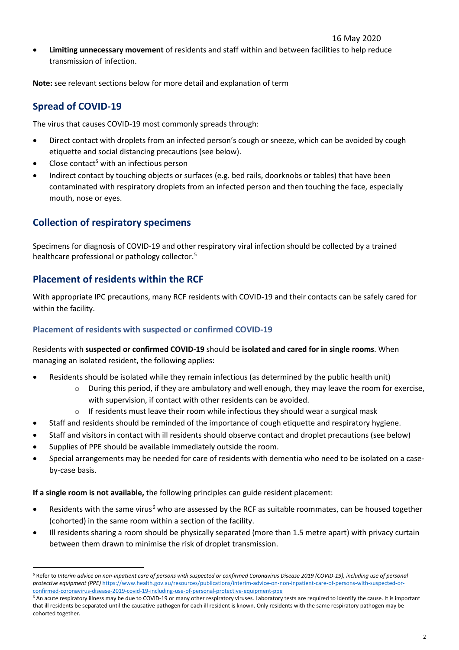• **Limiting unnecessary movement** of residents and staff within and between facilities to help reduce transmission of infection.

**Note:** see relevant sections below for more detail and explanation of term

# **Spread of COVID-19**

The virus that causes COVID-19 most commonly spreads through:

- Direct contact with droplets from an infected person's cough or sneeze, which can be avoided by cough etiquette and social distancing precautions (see below).
- Close contact<sup>5</sup> with an infectious person
- Indirect contact by touching objects or surfaces (e.g. bed rails, doorknobs or tables) that have been contaminated with respiratory droplets from an infected person and then touching the face, especially mouth, nose or eyes.

## **Collection of respiratory specimens**

Specimens for diagnosis of COVID-19 and other respiratory viral infection should be collected by a trained healthcare professional or pathology collector.[5](#page-1-0)

### **Placement of residents within the RCF**

With appropriate IPC precautions, many RCF residents with COVID-19 and their contacts can be safely cared for within the facility.

#### **Placement of residents with suspected or confirmed COVID-19**

Residents with **suspected or confirmed COVID-19** should be **isolated and cared for in single rooms**. When managing an isolated resident, the following applies:

- Residents should be isolated while they remain infectious (as determined by the public health unit)
	- o During this period, if they are ambulatory and well enough, they may leave the room for exercise, with supervision, if contact with other residents can be avoided.
	- $\circ$  If residents must leave their room while infectious they should wear a surgical mask
- Staff and residents should be reminded of the importance of cough etiquette and respiratory hygiene.
- Staff and visitors in contact with ill residents should observe contact and droplet precautions [\(see below\)](#page-3-0)
- Supplies of PPE should be available immediately outside the room.
- Special arrangements may be needed for care of residents with dementia who need to be isolated on a caseby-case basis.

<span id="page-1-2"></span>**If a single room is not available,** the following principles can guide resident placement:

- Residents with the same virus<sup>[6](#page-1-1)</sup> who are assessed by the RCF as suitable roommates, can be housed together (cohorted) in the same room within a section of the facility.
- Ill residents sharing a room should be physically separated (more than 1.5 metre apart) with privacy curtain between them drawn to minimise the risk of droplet transmission.

 $\overline{a}$ **<sup>5</sup>** Refer to *Interim advice on non-inpatient care of persons with suspected or confirmed Coronavirus Disease 2019 (COVID-19), including use of personal protective equipment (PPE)* [https://www.health.gov.au/resources/publications/interim-advice-on-non-inpatient-care-of-persons-with-suspected-or](https://www.health.gov.au/resources/publications/interim-advice-on-non-inpatient-care-of-persons-with-suspected-or-confirmed-coronavirus-disease-2019-covid-19-including-use-of-personal-protective-equipment-ppe)[confirmed-coronavirus-disease-2019-covid-19-including-use-of-personal-protective-equipment-ppe](https://www.health.gov.au/resources/publications/interim-advice-on-non-inpatient-care-of-persons-with-suspected-or-confirmed-coronavirus-disease-2019-covid-19-including-use-of-personal-protective-equipment-ppe)

<span id="page-1-1"></span><span id="page-1-0"></span><sup>&</sup>lt;sup>6</sup> An acute respiratory illness may be due to COVID-19 or many other respiratory viruses. Laboratory tests are required to identify the cause. It is important that ill residents be separated until the causative pathogen for each ill resident is known. Only residents with the same respiratory pathogen may be cohorted together.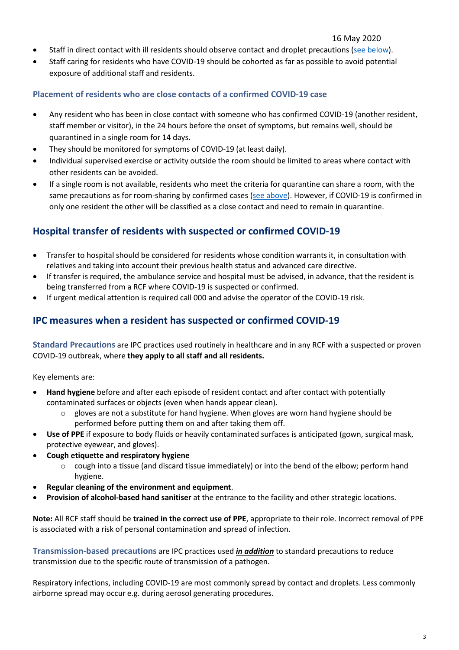- Staff in direct contact with ill residents should observe contact and droplet precautions [\(see below\)](#page-3-0).
- Staff caring for residents who have COVID-19 should be cohorted as far as possible to avoid potential exposure of additional staff and residents.

#### **Placement of residents who are close contacts of a confirmed COVID-19 case**

- Any resident who has been in close contact with someone who has confirmed COVID-19 (another resident, staff member or visitor), in the 24 hours before the onset of symptoms, but remains well, should be quarantined in a single room for 14 days.
- They should be monitored for symptoms of COVID-19 (at least daily).
- Individual supervised exercise or activity outside the room should be limited to areas where contact with other residents can be avoided.
- If a single room is not available, residents who meet the criteria for quarantine can share a room, with the same precautions as for room-sharing by confirmed cases [\(see above\)](#page-1-2). However, if COVID-19 is confirmed in only one resident the other will be classified as a close contact and need to remain in quarantine.

### **Hospital transfer of residents with suspected or confirmed COVID-19**

- Transfer to hospital should be considered for residents whose condition warrants it, in consultation with relatives and taking into account their previous health status and advanced care directive.
- If transfer is required, the ambulance service and hospital must be advised, in advance, that the resident is being transferred from a RCF where COVID-19 is suspected or confirmed.
- If urgent medical attention is required call 000 and advise the operator of the COVID-19 risk.

### **IPC measures when a resident has suspected or confirmed COVID-19**

**Standard Precautions** are IPC practices used routinely in healthcare and in any RCF with a suspected or proven COVID-19 outbreak, where **they apply to all staff and all residents.**

Key elements are:

- **Hand hygiene** before and after each episode of resident contact and after contact with potentially contaminated surfaces or objects (even when hands appear clean).
	- gloves are not a substitute for hand hygiene. When gloves are worn hand hygiene should be performed before putting them on and after taking them off.
- **Use of PPE** if exposure to body fluids or heavily contaminated surfaces is anticipated (gown, surgical mask, protective eyewear, and gloves).
- **Cough etiquette and respiratory hygiene**
	- $\circ$  cough into a tissue (and discard tissue immediately) or into the bend of the elbow; perform hand hygiene.
- **Regular cleaning of the environment and equipment**.
- **Provision of alcohol-based hand sanitiser** at the entrance to the facility and other strategic locations.

**Note:** All RCF staff should be **trained in the correct use of PPE**, appropriate to their role. Incorrect removal of PPE is associated with a risk of personal contamination and spread of infection.

**Transmission-based precautions** are IPC practices used *in addition* to standard precautions to reduce transmission due to the specific route of transmission of a pathogen.

Respiratory infections, including COVID-19 are most commonly spread by contact and droplets. Less commonly airborne spread may occur e.g. during aerosol generating procedures.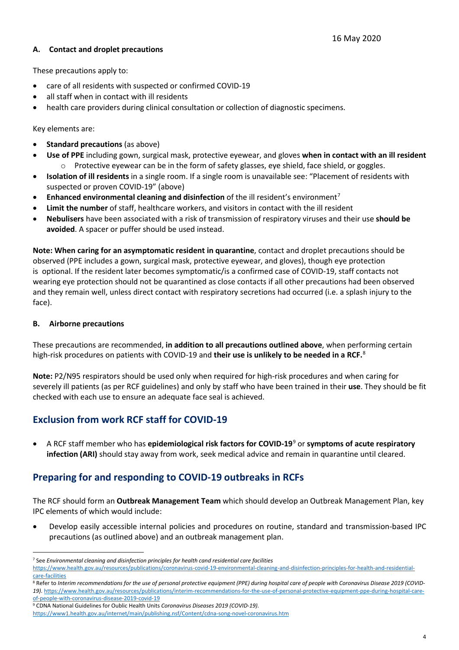#### <span id="page-3-0"></span>**A. Contact and droplet precautions**

These precautions apply to:

- care of all residents with suspected or confirmed COVID-19
- all staff when in contact with ill residents
- health care providers during clinical consultation or collection of diagnostic specimens.

Key elements are:

- **Standard precautions** (as above)
- **Use of PPE** including gown, surgical mask, protective eyewear, and gloves **when in contact with an ill resident**  $\circ$  Protective eyewear can be in the form of safety glasses, eye shield, face shield, or goggles.
- **Isolation of ill residents** in a single room. If a single room is unavailable see: "Placement of residents with suspected or proven COVID-19" (above)
- **Enhanced environmental cleaning and disinfection** of the ill resident's environment[7](#page-3-1)
- **Limit the number** of staff, healthcare workers, and visitors in contact with the ill resident
- **Nebulisers** have been associated with a risk of transmission of respiratory viruses and their use **should be avoided**. A spacer or puffer should be used instead.

**Note: When caring for an asymptomatic resident in quarantine**, contact and droplet precautions should be observed (PPE includes a gown, surgical mask, protective eyewear, and gloves), though eye protection is optional. If the resident later becomes symptomatic/is a confirmed case of COVID-19, staff contacts not wearing eye protection should not be quarantined as close contacts if all other precautions had been observed and they remain well, unless direct contact with respiratory secretions had occurred (i.e. a splash injury to the face).

#### **B. Airborne precautions**

These precautions are recommended, **in addition to all precautions outlined above**, when performing certain high-risk procedures on patients with COVID-19 and **their use is unlikely to be needed in a RCF.** [8](#page-3-2)

**Note:** P2/N95 respirators should be used only when required for high-risk procedures and when caring for severely ill patients (as per RCF guidelines) and only by staff who have been trained in their **use**. They should be fit checked with each use to ensure an adequate face seal is achieved.

### **Exclusion from work RCF staff for COVID-19**

• A RCF staff member who has **epidemiological risk factors for COVID-19**[9](#page-3-3) or **symptoms of acute respiratory infection (ARI)** should stay away from work, seek medical advice and remain in quarantine until cleared.

### **Preparing for and responding to COVID-19 outbreaks in RCFs**

The RCF should form an **Outbreak Management Team** which should develop an Outbreak Management Plan, key IPC elements of which would include:

• Develop easily accessible internal policies and procedures on routine, standard and transmission-based IPC precautions (as outlined above) and an outbreak management plan.

l <sup>7</sup> See *Environmental cleaning and disinfection principles for health cand residential care facilities*

<span id="page-3-1"></span>[https://www.health.gov.au/resources/publications/coronavirus-covid-19-environmental-cleaning-and-disinfection-principles-for-health-and-residential](https://www.health.gov.au/resources/publications/coronavirus-covid-19-environmental-cleaning-and-disinfection-principles-for-health-and-residential-care-facilities)[care-facilities](https://www.health.gov.au/resources/publications/coronavirus-covid-19-environmental-cleaning-and-disinfection-principles-for-health-and-residential-care-facilities)

<span id="page-3-2"></span><sup>&</sup>lt;sup>8</sup> Refer to Interim recommendations for the use of personal protective equipment (PPE) during hospital care of people with Coronavirus Disease 2019 (COVID-*19)*. [https://www.health.gov.au/resources/publications/interim-recommendations-for-the-use-of-personal-protective-equipment-ppe-during-hospital-care](https://www.health.gov.au/resources/publications/interim-recommendations-for-the-use-of-personal-protective-equipment-ppe-during-hospital-care-of-people-with-coronavirus-disease-2019-covid-19)[of-people-with-coronavirus-disease-2019-covid-19](https://www.health.gov.au/resources/publications/interim-recommendations-for-the-use-of-personal-protective-equipment-ppe-during-hospital-care-of-people-with-coronavirus-disease-2019-covid-19)

<span id="page-3-3"></span><sup>9</sup> CDNA National Guidelines for Oublic Health Units *Coronavirus Diseases 2019 (COVID-19)*.

<https://www1.health.gov.au/internet/main/publishing.nsf/Content/cdna-song-novel-coronavirus.htm>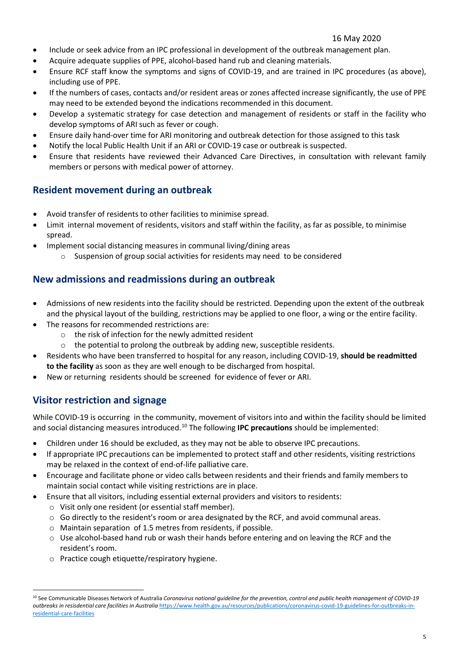#### 16 May 2020

- Include or seek advice from an IPC professional in development of the outbreak management plan.
- Acquire adequate supplies of PPE, alcohol-based hand rub and cleaning materials.
- Ensure RCF staff know the symptoms and signs of COVID-19, and are trained in IPC procedures (as above), including use of PPE.
- If the numbers of cases, contacts and/or resident areas or zones affected increase significantly, the use of PPE may need to be extended beyond the indications recommended in this document.
- Develop a systematic strategy for case detection and management of residents or staff in the facility who develop symptoms of ARI such as fever or cough.
- Ensure daily hand-over time for ARI monitoring and outbreak detection for those assigned to this task
- Notify the local Public Health Unit if an ARI or COVID-19 case or outbreak is suspected.
- Ensure that residents have reviewed their Advanced Care Directives, in consultation with relevant family members or persons with medical power of attorney.

### **Resident movement during an outbreak**

- Avoid transfer of residents to other facilities to minimise spread.
- Limit internal movement of residents, visitors and staff within the facility, as far as possible, to minimise spread.
- Implement social distancing measures in communal living/dining areas
	- o Suspension of group social activities for residents may need to be considered

## **New admissions and readmissions during an outbreak**

- Admissions of new residents into the facility should be restricted. Depending upon the extent of the outbreak and the physical layout of the building, restrictions may be applied to one floor, a wing or the entire facility.
- The reasons for recommended restrictions are:
	- o the risk of infection for the newly admitted resident
	- o the potential to prolong the outbreak by adding new, susceptible residents.
- Residents who have been transferred to hospital for any reason, including COVID-19, **should be readmitted to the facility** as soon as they are well enough to be discharged from hospital.
- New or returning residents should be screened for evidence of fever or ARI.

### **Visitor restriction and signage**

 $\overline{a}$ 

While COVID-19 is occurring in the community, movement of visitors into and within the facility should be limited and social distancing measures introduced. [10](#page-4-0) The following **IPC precautions** should be implemented:

- Children under 16 should be excluded, as they may not be able to observe IPC precautions.
- If appropriate IPC precautions can be implemented to protect staff and other residents, visiting restrictions may be relaxed in the context of end-of-life palliative care.
- Encourage and facilitate phone or video calls between residents and their friends and family members to maintain social contact while visiting restrictions are in place.
- Ensure that all visitors, including essential external providers and visitors to residents:
	- o Visit only one resident (or essential staff member).
	- $\circ$  Go directly to the resident's room or area designated by the RCF, and avoid communal areas.
	- o Maintain separation of 1.5 metres from residents, if possible.
	- o Use alcohol-based hand rub or wash their hands before entering and on leaving the RCF and the resident's room.
	- o Practice cough etiquette/respiratory hygiene.

<span id="page-4-0"></span><sup>10</sup> See Communicable Diseases Network of Australia *Coronavirus national guideline for the prevention, control and public health management of COVID-19 outbreaks in resisdential care facilities in Australia* [https://www.health.gov.au/resources/publications/coronavirus-covid-19-guidelines-for-outbreaks-in](https://www.health.gov.au/resources/publications/coronavirus-covid-19-guidelines-for-outbreaks-in-residential-care-facilities)[residential-care-facilities](https://www.health.gov.au/resources/publications/coronavirus-covid-19-guidelines-for-outbreaks-in-residential-care-facilities)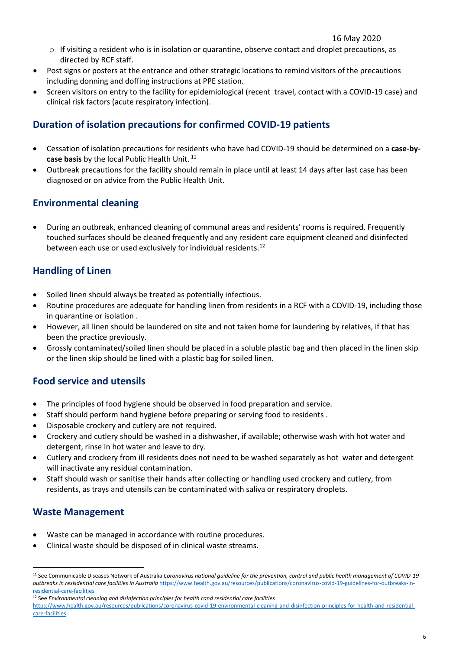- $\circ$  If visiting a resident who is in isolation or quarantine, observe contact and droplet precautions, as directed by RCF staff.
- Post signs or posters at the entrance and other strategic locations to remind visitors of the precautions including donning and doffing instructions at PPE station.
- Screen visitors on entry to the facility for epidemiological (recent travel, contact with a COVID-19 case) and clinical risk factors (acute respiratory infection).

### **Duration of isolation precautions for confirmed COVID-19 patients**

- Cessation of isolation precautions for residents who have had COVID-19 should be determined on a **case-by-**case basis by the local Public Health Unit.<sup>[11](#page-5-0)</sup>
- Outbreak precautions for the facility should remain in place until at least 14 days after last case has been diagnosed or on advice from the Public Health Unit.

### **Environmental cleaning**

• During an outbreak, enhanced cleaning of communal areas and residents' rooms is required. Frequently touched surfaces should be cleaned frequently and any resident care equipment cleaned and disinfected between each use or used exclusively for individual residents.<sup>[12](#page-5-1)</sup>

### **Handling of Linen**

- Soiled linen should always be treated as potentially infectious.
- Routine procedures are adequate for handling linen from residents in a RCF with a COVID-19, including those in quarantine or isolation .
- However, all linen should be laundered on site and not taken home for laundering by relatives, if that has been the practice previously.
- Grossly contaminated/soiled linen should be placed in a soluble plastic bag and then placed in the linen skip or the linen skip should be lined with a plastic bag for soiled linen.

### **Food service and utensils**

- The principles of food hygiene should be observed in food preparation and service.
- Staff should perform hand hygiene before preparing or serving food to residents .
- Disposable crockery and cutlery are not required.
- Crockery and cutlery should be washed in a dishwasher, if available; otherwise wash with hot water and detergent, rinse in hot water and leave to dry.
- Cutlery and crockery from ill residents does not need to be washed separately as hot water and detergent will inactivate any residual contamination.
- Staff should wash or sanitise their hands after collecting or handling used crockery and cutlery, from residents, as trays and utensils can be contaminated with saliva or respiratory droplets.

### **Waste Management**

 $\overline{a}$ 

- Waste can be managed in accordance with routine procedures.
- Clinical waste should be disposed of in clinical waste streams.

<span id="page-5-0"></span><sup>11</sup> See Communicable Diseases Network of Australia *Coronavirus national guideline for the prevention, control and public health management of COVID-19 outbreaks in resisdential care facilities in Australia* [https://www.health.gov.au/resources/publications/coronavirus-covid-19-guidelines-for-outbreaks-in](https://www.health.gov.au/resources/publications/coronavirus-covid-19-guidelines-for-outbreaks-in-residential-care-facilities)[residential-care-facilities](https://www.health.gov.au/resources/publications/coronavirus-covid-19-guidelines-for-outbreaks-in-residential-care-facilities)

<span id="page-5-1"></span><sup>12</sup> See *Environmental cleaning and disinfection principles for health cand residential care facilities*

[https://www.health.gov.au/resources/publications/coronavirus-covid-19-environmental-cleaning-and-disinfection-principles-for-health-and-residential](https://www.health.gov.au/resources/publications/coronavirus-covid-19-environmental-cleaning-and-disinfection-principles-for-health-and-residential-care-facilities)[care-facilities](https://www.health.gov.au/resources/publications/coronavirus-covid-19-environmental-cleaning-and-disinfection-principles-for-health-and-residential-care-facilities)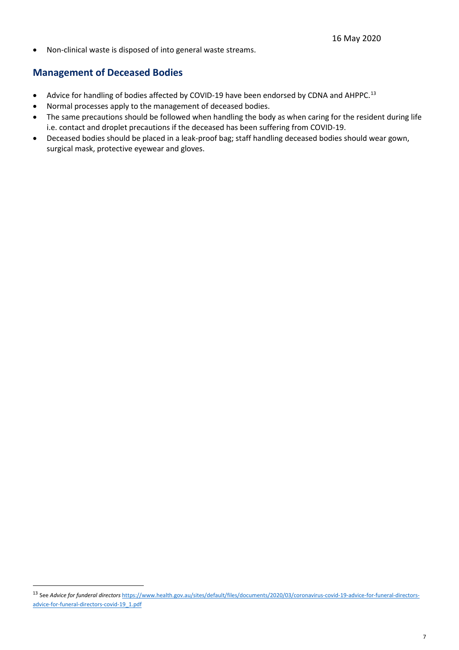• Non-clinical waste is disposed of into general waste streams.

### **Management of Deceased Bodies**

 $\overline{a}$ 

- Advice for handling of bodies affected by COVID-19 have been endorsed by CDNA and AHPPC.<sup>[13](#page-6-0)</sup>
- Normal processes apply to the management of deceased bodies.
- The same precautions should be followed when handling the body as when caring for the resident during life i.e. contact and droplet precautions if the deceased has been suffering from COVID-19.
- Deceased bodies should be placed in a leak-proof bag; staff handling deceased bodies should wear gown, surgical mask, protective eyewear and gloves.

<span id="page-6-0"></span><sup>13</sup> See *Advice for funderal directors* [https://www.health.gov.au/sites/default/files/documents/2020/03/coronavirus-covid-19-advice-for-funeral-directors](https://www.health.gov.au/sites/default/files/documents/2020/03/coronavirus-covid-19-advice-for-funeral-directors-advice-for-funeral-directors-covid-19_1.pdf)[advice-for-funeral-directors-covid-19\\_1.pdf](https://www.health.gov.au/sites/default/files/documents/2020/03/coronavirus-covid-19-advice-for-funeral-directors-advice-for-funeral-directors-covid-19_1.pdf)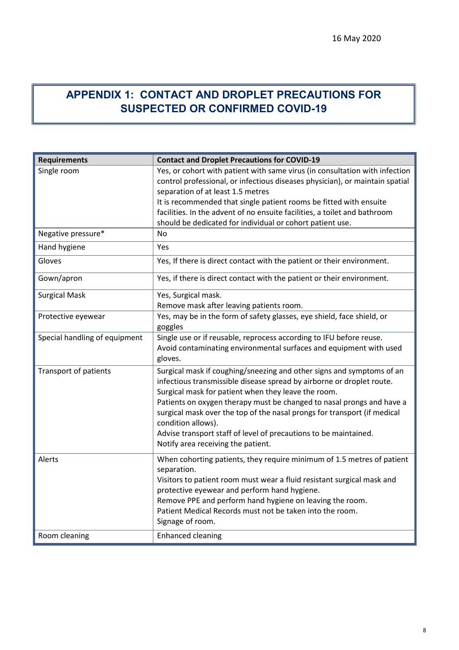# **APPENDIX 1: CONTACT AND DROPLET PRECAUTIONS FOR SUSPECTED OR CONFIRMED COVID-19**

| <b>Requirements</b>           | <b>Contact and Droplet Precautions for COVID-19</b>                                                                                                                                                                                                                                                                                                                                                                                                                                        |
|-------------------------------|--------------------------------------------------------------------------------------------------------------------------------------------------------------------------------------------------------------------------------------------------------------------------------------------------------------------------------------------------------------------------------------------------------------------------------------------------------------------------------------------|
| Single room                   | Yes, or cohort with patient with same virus (in consultation with infection<br>control professional, or infectious diseases physician), or maintain spatial<br>separation of at least 1.5 metres<br>It is recommended that single patient rooms be fitted with ensuite<br>facilities. In the advent of no ensuite facilities, a toilet and bathroom<br>should be dedicated for individual or cohort patient use.                                                                           |
| Negative pressure*            | <b>No</b>                                                                                                                                                                                                                                                                                                                                                                                                                                                                                  |
| Hand hygiene                  | Yes                                                                                                                                                                                                                                                                                                                                                                                                                                                                                        |
| Gloves                        | Yes, If there is direct contact with the patient or their environment.                                                                                                                                                                                                                                                                                                                                                                                                                     |
| Gown/apron                    | Yes, if there is direct contact with the patient or their environment.                                                                                                                                                                                                                                                                                                                                                                                                                     |
| <b>Surgical Mask</b>          | Yes, Surgical mask.<br>Remove mask after leaving patients room.                                                                                                                                                                                                                                                                                                                                                                                                                            |
| Protective eyewear            | Yes, may be in the form of safety glasses, eye shield, face shield, or<br>goggles                                                                                                                                                                                                                                                                                                                                                                                                          |
| Special handling of equipment | Single use or if reusable, reprocess according to IFU before reuse.<br>Avoid contaminating environmental surfaces and equipment with used<br>gloves.                                                                                                                                                                                                                                                                                                                                       |
| <b>Transport of patients</b>  | Surgical mask if coughing/sneezing and other signs and symptoms of an<br>infectious transmissible disease spread by airborne or droplet route.<br>Surgical mask for patient when they leave the room.<br>Patients on oxygen therapy must be changed to nasal prongs and have a<br>surgical mask over the top of the nasal prongs for transport (if medical<br>condition allows).<br>Advise transport staff of level of precautions to be maintained.<br>Notify area receiving the patient. |
| Alerts                        | When cohorting patients, they require minimum of 1.5 metres of patient<br>separation.<br>Visitors to patient room must wear a fluid resistant surgical mask and<br>protective eyewear and perform hand hygiene.<br>Remove PPE and perform hand hygiene on leaving the room.<br>Patient Medical Records must not be taken into the room.<br>Signage of room.                                                                                                                                |
| Room cleaning                 | <b>Enhanced cleaning</b>                                                                                                                                                                                                                                                                                                                                                                                                                                                                   |